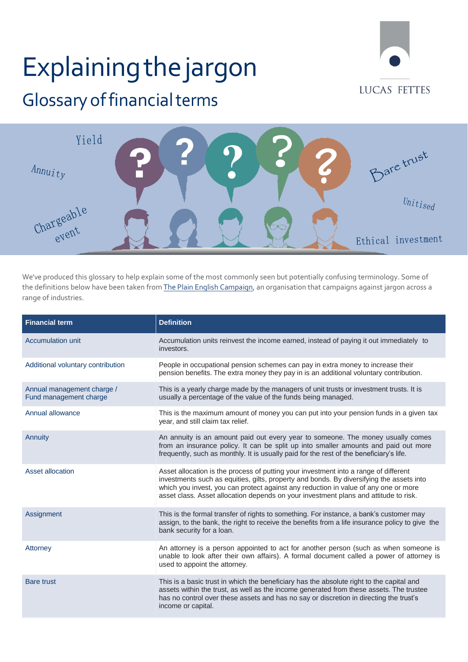## Explainingthejargon



## Glossary of financial terms



We've produced this glossary to help explain some of the most commonly seen but potentially confusing terminology. Some of the definitions below have been taken from The Plain English Campaign, an organisation that campaigns against jargon across a range of industries.

| <b>Financial term</b>                                | <b>Definition</b>                                                                                                                                                                                                                                                                                                                                               |
|------------------------------------------------------|-----------------------------------------------------------------------------------------------------------------------------------------------------------------------------------------------------------------------------------------------------------------------------------------------------------------------------------------------------------------|
| <b>Accumulation unit</b>                             | Accumulation units reinvest the income earned, instead of paying it out immediately to<br>investors.                                                                                                                                                                                                                                                            |
| Additional voluntary contribution                    | People in occupational pension schemes can pay in extra money to increase their<br>pension benefits. The extra money they pay in is an additional voluntary contribution.                                                                                                                                                                                       |
| Annual management charge /<br>Fund management charge | This is a yearly charge made by the managers of unit trusts or investment trusts. It is<br>usually a percentage of the value of the funds being managed.                                                                                                                                                                                                        |
| Annual allowance                                     | This is the maximum amount of money you can put into your pension funds in a given tax<br>year, and still claim tax relief.                                                                                                                                                                                                                                     |
| Annuity                                              | An annuity is an amount paid out every year to someone. The money usually comes<br>from an insurance policy. It can be split up into smaller amounts and paid out more<br>frequently, such as monthly. It is usually paid for the rest of the beneficiary's life.                                                                                               |
| Asset allocation                                     | Asset allocation is the process of putting your investment into a range of different<br>investments such as equities, gilts, property and bonds. By diversifying the assets into<br>which you invest, you can protect against any reduction in value of any one or more<br>asset class. Asset allocation depends on your investment plans and attitude to risk. |
| Assignment                                           | This is the formal transfer of rights to something. For instance, a bank's customer may<br>assign, to the bank, the right to receive the benefits from a life insurance policy to give the<br>bank security for a loan.                                                                                                                                         |
| Attorney                                             | An attorney is a person appointed to act for another person (such as when someone is<br>unable to look after their own affairs). A formal document called a power of attorney is<br>used to appoint the attorney.                                                                                                                                               |
| <b>Bare trust</b>                                    | This is a basic trust in which the beneficiary has the absolute right to the capital and<br>assets within the trust, as well as the income generated from these assets. The trustee<br>has no control over these assets and has no say or discretion in directing the trust's<br>income or capital.                                                             |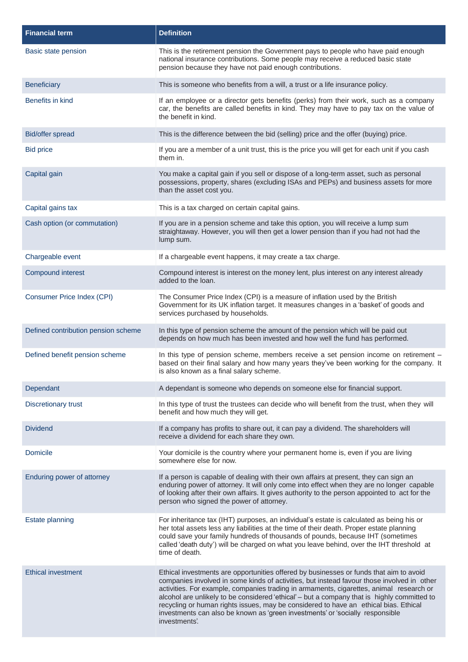| <b>Financial term</b>               | <b>Definition</b>                                                                                                                                                                                                                                                                                                                                                                                                                                                                                                                                                        |
|-------------------------------------|--------------------------------------------------------------------------------------------------------------------------------------------------------------------------------------------------------------------------------------------------------------------------------------------------------------------------------------------------------------------------------------------------------------------------------------------------------------------------------------------------------------------------------------------------------------------------|
| Basic state pension                 | This is the retirement pension the Government pays to people who have paid enough<br>national insurance contributions. Some people may receive a reduced basic state<br>pension because they have not paid enough contributions.                                                                                                                                                                                                                                                                                                                                         |
| <b>Beneficiary</b>                  | This is someone who benefits from a will, a trust or a life insurance policy.                                                                                                                                                                                                                                                                                                                                                                                                                                                                                            |
| Benefits in kind                    | If an employee or a director gets benefits (perks) from their work, such as a company<br>car, the benefits are called benefits in kind. They may have to pay tax on the value of<br>the benefit in kind.                                                                                                                                                                                                                                                                                                                                                                 |
| Bid/offer spread                    | This is the difference between the bid (selling) price and the offer (buying) price.                                                                                                                                                                                                                                                                                                                                                                                                                                                                                     |
| <b>Bid price</b>                    | If you are a member of a unit trust, this is the price you will get for each unit if you cash<br>them in.                                                                                                                                                                                                                                                                                                                                                                                                                                                                |
| Capital gain                        | You make a capital gain if you sell or dispose of a long-term asset, such as personal<br>possessions, property, shares (excluding ISAs and PEPs) and business assets for more<br>than the asset cost you.                                                                                                                                                                                                                                                                                                                                                                |
| Capital gains tax                   | This is a tax charged on certain capital gains.                                                                                                                                                                                                                                                                                                                                                                                                                                                                                                                          |
| Cash option (or commutation)        | If you are in a pension scheme and take this option, you will receive a lump sum<br>straightaway. However, you will then get a lower pension than if you had not had the<br>lump sum.                                                                                                                                                                                                                                                                                                                                                                                    |
| Chargeable event                    | If a chargeable event happens, it may create a tax charge.                                                                                                                                                                                                                                                                                                                                                                                                                                                                                                               |
| <b>Compound interest</b>            | Compound interest is interest on the money lent, plus interest on any interest already<br>added to the loan.                                                                                                                                                                                                                                                                                                                                                                                                                                                             |
| Consumer Price Index (CPI)          | The Consumer Price Index (CPI) is a measure of inflation used by the British<br>Government for its UK inflation target. It measures changes in a 'basket' of goods and<br>services purchased by households.                                                                                                                                                                                                                                                                                                                                                              |
| Defined contribution pension scheme | In this type of pension scheme the amount of the pension which will be paid out<br>depends on how much has been invested and how well the fund has performed.                                                                                                                                                                                                                                                                                                                                                                                                            |
| Defined benefit pension scheme      | In this type of pension scheme, members receive a set pension income on retirement -<br>based on their final salary and how many years they've been working for the company. It<br>is also known as a final salary scheme.                                                                                                                                                                                                                                                                                                                                               |
| Dependant                           | A dependant is someone who depends on someone else for financial support.                                                                                                                                                                                                                                                                                                                                                                                                                                                                                                |
| <b>Discretionary trust</b>          | In this type of trust the trustees can decide who will benefit from the trust, when they will<br>benefit and how much they will get.                                                                                                                                                                                                                                                                                                                                                                                                                                     |
| <b>Dividend</b>                     | If a company has profits to share out, it can pay a dividend. The shareholders will<br>receive a dividend for each share they own.                                                                                                                                                                                                                                                                                                                                                                                                                                       |
| Domicile                            | Your domicile is the country where your permanent home is, even if you are living<br>somewhere else for now.                                                                                                                                                                                                                                                                                                                                                                                                                                                             |
| Enduring power of attorney          | If a person is capable of dealing with their own affairs at present, they can sign an<br>enduring power of attorney. It will only come into effect when they are no longer capable<br>of looking after their own affairs. It gives authority to the person appointed to act for the<br>person who signed the power of attorney.                                                                                                                                                                                                                                          |
| Estate planning                     | For inheritance tax (IHT) purposes, an individual's estate is calculated as being his or<br>her total assets less any liabilities at the time of their death. Proper estate planning<br>could save your family hundreds of thousands of pounds, because IHT (sometimes<br>called 'death duty') will be charged on what you leave behind, over the IHT threshold at<br>time of death.                                                                                                                                                                                     |
| <b>Ethical investment</b>           | Ethical investments are opportunities offered by businesses or funds that aim to avoid<br>companies involved in some kinds of activities, but instead favour those involved in other<br>activities. For example, companies trading in armaments, cigarettes, animal research or<br>alcohol are unlikely to be considered 'ethical' - but a company that is highly committed to<br>recycling or human rights issues, may be considered to have an ethical bias. Ethical<br>investments can also be known as 'green investments' or 'socially responsible<br>investments'. |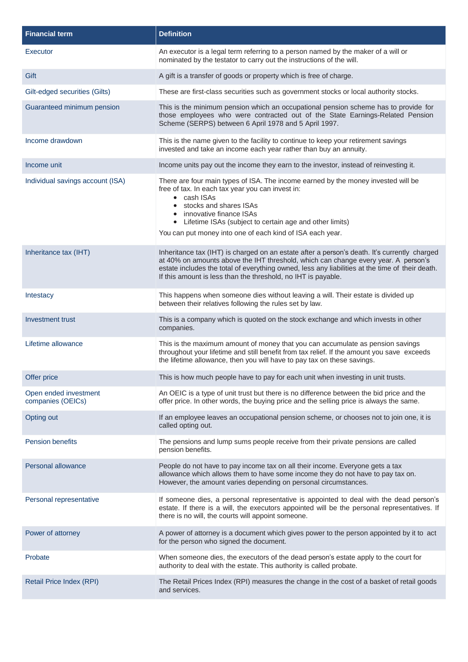| <b>Financial term</b>                      | <b>Definition</b>                                                                                                                                                                                                                                                                                                                                      |
|--------------------------------------------|--------------------------------------------------------------------------------------------------------------------------------------------------------------------------------------------------------------------------------------------------------------------------------------------------------------------------------------------------------|
| Executor                                   | An executor is a legal term referring to a person named by the maker of a will or<br>nominated by the testator to carry out the instructions of the will.                                                                                                                                                                                              |
| Gift                                       | A gift is a transfer of goods or property which is free of charge.                                                                                                                                                                                                                                                                                     |
| Gilt-edged securities (Gilts)              | These are first-class securities such as government stocks or local authority stocks.                                                                                                                                                                                                                                                                  |
| Guaranteed minimum pension                 | This is the minimum pension which an occupational pension scheme has to provide for<br>those employees who were contracted out of the State Earnings-Related Pension<br>Scheme (SERPS) between 6 April 1978 and 5 April 1997.                                                                                                                          |
| Income drawdown                            | This is the name given to the facility to continue to keep your retirement savings<br>invested and take an income each year rather than buy an annuity.                                                                                                                                                                                                |
| Income unit                                | Income units pay out the income they earn to the investor, instead of reinvesting it.                                                                                                                                                                                                                                                                  |
| Individual savings account (ISA)           | There are four main types of ISA. The income earned by the money invested will be<br>free of tax. In each tax year you can invest in:<br>• cash ISAs<br>stocks and shares ISAs<br>innovative finance ISAs<br>• Lifetime ISAs (subject to certain age and other limits)<br>You can put money into one of each kind of ISA each year.                    |
| Inheritance tax (IHT)                      | Inheritance tax (IHT) is charged on an estate after a person's death. It's currently charged<br>at 40% on amounts above the IHT threshold, which can change every year. A person's<br>estate includes the total of everything owned, less any liabilities at the time of their death.<br>If this amount is less than the threshold, no IHT is payable. |
| Intestacy                                  | This happens when someone dies without leaving a will. Their estate is divided up<br>between their relatives following the rules set by law.                                                                                                                                                                                                           |
| Investment trust                           | This is a company which is quoted on the stock exchange and which invests in other<br>companies.                                                                                                                                                                                                                                                       |
| Lifetime allowance                         | This is the maximum amount of money that you can accumulate as pension savings<br>throughout your lifetime and still benefit from tax relief. If the amount you save exceeds<br>the lifetime allowance, then you will have to pay tax on these savings.                                                                                                |
| Offer price                                | This is how much people have to pay for each unit when investing in unit trusts.                                                                                                                                                                                                                                                                       |
| Open ended investment<br>companies (OEICs) | An OEIC is a type of unit trust but there is no difference between the bid price and the<br>offer price. In other words, the buying price and the selling price is always the same.                                                                                                                                                                    |
| Opting out                                 | If an employee leaves an occupational pension scheme, or chooses not to join one, it is<br>called opting out.                                                                                                                                                                                                                                          |
| <b>Pension benefits</b>                    | The pensions and lump sums people receive from their private pensions are called<br>pension benefits.                                                                                                                                                                                                                                                  |
| Personal allowance                         | People do not have to pay income tax on all their income. Everyone gets a tax<br>allowance which allows them to have some income they do not have to pay tax on.<br>However, the amount varies depending on personal circumstances.                                                                                                                    |
| Personal representative                    | If someone dies, a personal representative is appointed to deal with the dead person's<br>estate. If there is a will, the executors appointed will be the personal representatives. If<br>there is no will, the courts will appoint someone.                                                                                                           |
| Power of attorney                          | A power of attorney is a document which gives power to the person appointed by it to act<br>for the person who signed the document.                                                                                                                                                                                                                    |
| Probate                                    | When someone dies, the executors of the dead person's estate apply to the court for<br>authority to deal with the estate. This authority is called probate.                                                                                                                                                                                            |
| Retail Price Index (RPI)                   | The Retail Prices Index (RPI) measures the change in the cost of a basket of retail goods<br>and services.                                                                                                                                                                                                                                             |